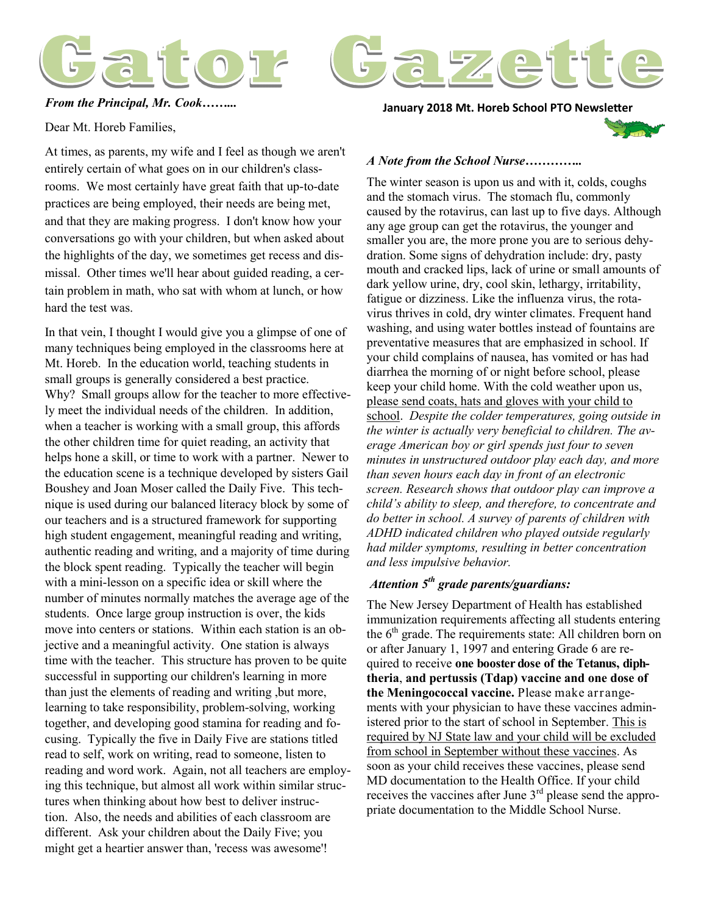



**January 2018 Mt. Horeb School PTO Newsletter** *From the Principal, Mr. Cook……...*

Dear Mt. Horeb Families,

At times, as parents, my wife and I feel as though we aren't entirely certain of what goes on in our children's classrooms. We most certainly have great faith that up-to-date practices are being employed, their needs are being met, and that they are making progress. I don't know how your conversations go with your children, but when asked about the highlights of the day, we sometimes get recess and dismissal. Other times we'll hear about guided reading, a certain problem in math, who sat with whom at lunch, or how hard the test was.

In that vein, I thought I would give you a glimpse of one of many techniques being employed in the classrooms here at Mt. Horeb. In the education world, teaching students in small groups is generally considered a best practice. Why? Small groups allow for the teacher to more effectively meet the individual needs of the children. In addition, when a teacher is working with a small group, this affords the other children time for quiet reading, an activity that helps hone a skill, or time to work with a partner. Newer to the education scene is a technique developed by sisters Gail Boushey and Joan Moser called the Daily Five. This technique is used during our balanced literacy block by some of our teachers and is a structured framework for supporting high student engagement, meaningful reading and writing, authentic reading and writing, and a majority of time during the block spent reading. Typically the teacher will begin with a mini-lesson on a specific idea or skill where the number of minutes normally matches the average age of the students. Once large group instruction is over, the kids move into centers or stations. Within each station is an objective and a meaningful activity. One station is always time with the teacher. This structure has proven to be quite successful in supporting our children's learning in more than just the elements of reading and writing ,but more, learning to take responsibility, problem-solving, working together, and developing good stamina for reading and focusing. Typically the five in Daily Five are stations titled read to self, work on writing, read to someone, listen to reading and word work. Again, not all teachers are employing this technique, but almost all work within similar structures when thinking about how best to deliver instruction. Also, the needs and abilities of each classroom are different. Ask your children about the Daily Five; you might get a heartier answer than, 'recess was awesome'!



#### *A Note from the School Nurse…………..*

The winter season is upon us and with it, colds, coughs and the stomach virus. The stomach flu, commonly caused by the rotavirus, can last up to five days. Although any age group can get the rotavirus, the younger and smaller you are, the more prone you are to serious dehydration. Some signs of dehydration include: dry, pasty mouth and cracked lips, lack of urine or small amounts of dark yellow urine, dry, cool skin, lethargy, irritability, fatigue or dizziness. Like the influenza virus, the rotavirus thrives in cold, dry winter climates. Frequent hand washing, and using water bottles instead of fountains are preventative measures that are emphasized in school. If your child complains of nausea, has vomited or has had diarrhea the morning of or night before school, please keep your child home. With the cold weather upon us, please send coats, hats and gloves with your child to school. *Despite the colder temperatures, going outside in the winter is actually very beneficial to children. The average American boy or girl spends just four to seven minutes in unstructured outdoor play each day, and more than seven hours each day in front of an electronic screen. Research shows that outdoor play can improve a child's ability to sleep, and therefore, to concentrate and do better in school. A survey of parents of children with ADHD indicated children who played outside regularly had milder symptoms, resulting in better concentration and less impulsive behavior.*

#### *Attention 5th grade parents/guardians:*

The New Jersey Department of Health has established immunization requirements affecting all students entering the  $6<sup>th</sup>$  grade. The requirements state: All children born on or after January 1, 1997 and entering Grade 6 are required to receive **one booster dose of the Tetanus, diphtheria**, **and pertussis (Tdap) vaccine and one dose of the Meningococcal vaccine.** Please make arrangements with your physician to have these vaccines administered prior to the start of school in September. This is required by NJ State law and your child will be excluded from school in September without these vaccines. As soon as your child receives these vaccines, please send MD documentation to the Health Office. If your child receives the vaccines after June 3<sup>rd</sup> please send the appropriate documentation to the Middle School Nurse.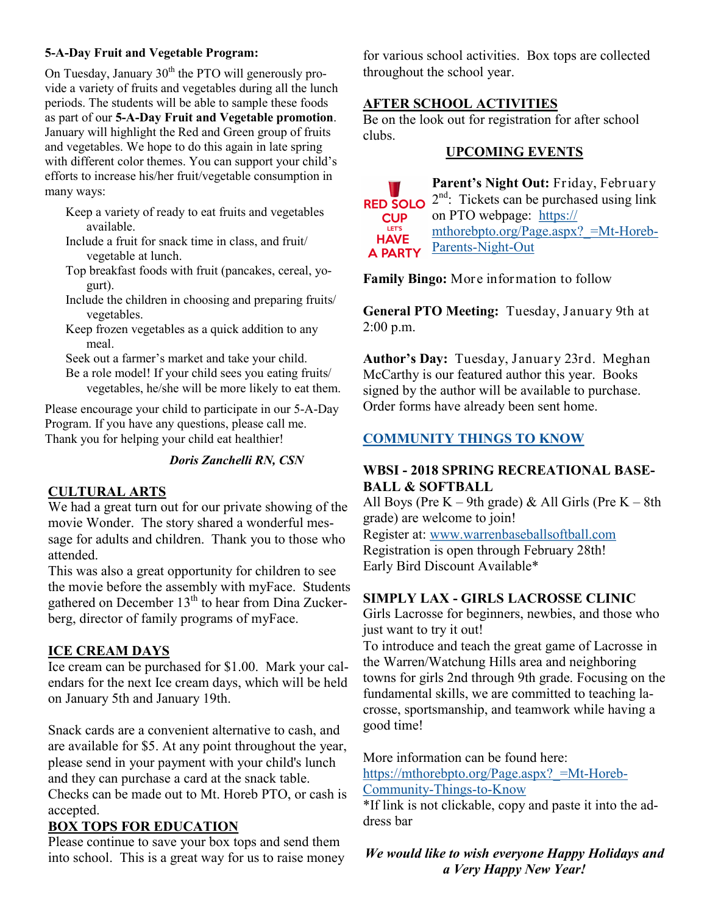#### **5-A-Day Fruit and Vegetable Program:**

On Tuesday, January  $30<sup>th</sup>$  the PTO will generously provide a variety of fruits and vegetables during all the lunch periods. The students will be able to sample these foods as part of our **5-A-Day Fruit and Vegetable promotion**. January will highlight the Red and Green group of fruits and vegetables. We hope to do this again in late spring with different color themes. You can support your child's efforts to increase his/her fruit/vegetable consumption in many ways:

- Keep a variety of ready to eat fruits and vegetables available.
- Include a fruit for snack time in class, and fruit/ vegetable at lunch.
- Top breakfast foods with fruit (pancakes, cereal, yogurt).
- Include the children in choosing and preparing fruits/ vegetables.
- Keep frozen vegetables as a quick addition to any meal.

Seek out a farmer's market and take your child. Be a role model! If your child sees you eating fruits/ vegetables, he/she will be more likely to eat them.

Please encourage your child to participate in our 5-A-Day Program. If you have any questions, please call me. Thank you for helping your child eat healthier!

#### *Doris Zanchelli RN, CSN*

## **CULTURAL ARTS**

We had a great turn out for our private showing of the movie Wonder. The story shared a wonderful message for adults and children. Thank you to those who attended.

This was also a great opportunity for children to see the movie before the assembly with myFace. Students gathered on December  $13<sup>th</sup>$  to hear from Dina Zuckerberg, director of family programs of myFace.

## **ICE CREAM DAYS**

Ice cream can be purchased for \$1.00. Mark your calendars for the next Ice cream days, which will be held on January 5th and January 19th.

Snack cards are a convenient alternative to cash, and are available for \$5. At any point throughout the year, please send in your payment with your child's lunch and they can purchase a card at the snack table. Checks can be made out to Mt. Horeb PTO, or cash is accepted.

## **BOX TOPS FOR EDUCATION**

Please continue to save your box tops and send them into school. This is a great way for us to raise money for various school activities. Box tops are collected throughout the school year.

## **AFTER SCHOOL ACTIVITIES**

Be on the look out for registration for after school clubs.

## **UPCOMING EVENTS**

**Parent's Night Out:** Friday, February 2<sup>nd</sup>: Tickets can be purchased using link **RED SOLO** on PTO webpage: [https://](https://mthorebpto.org/Page.aspx?_=Mt-Horeb-Parents-Night-Out) **CUP** LET'S [mthorebpto.org/Page.aspx?\\_=Mt](https://mthorebpto.org/Page.aspx?_=Mt-Horeb-Parents-Night-Out)-Horeb-**HAVE** [Parents](https://mthorebpto.org/Page.aspx?_=Mt-Horeb-Parents-Night-Out)-Night-Out **A PARTY** 

**Family Bingo:** More information to follow

**General PTO Meeting:** Tuesday, January 9th at  $2:00$  p.m.

**Author's Day:** Tuesday, January 23rd. Meghan McCarthy is our featured author this year. Books signed by the author will be available to purchase. Order forms have already been sent home.

# **COMMUNITY THINGS TO KNOW**

## **WBSI - 2018 SPRING RECREATIONAL BASE-BALL & SOFTBALL**

All Boys (Pre  $K - 9$ th grade) & All Girls (Pre  $K - 8$ th grade) are welcome to join! Register at: [www.warrenbaseballsoftball.com](http://www.warrenbaseballsoftball.com/) Registration is open through February 28th!

Early Bird Discount Available\*

## **SIMPLY LAX - GIRLS LACROSSE CLINIC**

Girls Lacrosse for beginners, newbies, and those who just want to try it out!

To introduce and teach the great game of Lacrosse in the Warren/Watchung Hills area and neighboring towns for girls 2nd through 9th grade. Focusing on the fundamental skills, we are committed to teaching lacrosse, sportsmanship, and teamwork while having a good time!

More information can be found here:

https://mthorebpto.org/Page.aspx? =Mt-Horeb-[Community](https://mthorebpto.org/Page.aspx?_=Mt-Horeb-Community-Things-to-Know)-Things-to-Know

\*If link is not clickable, copy and paste it into the address bar

*We would like to wish everyone Happy Holidays and a Very Happy New Year!*